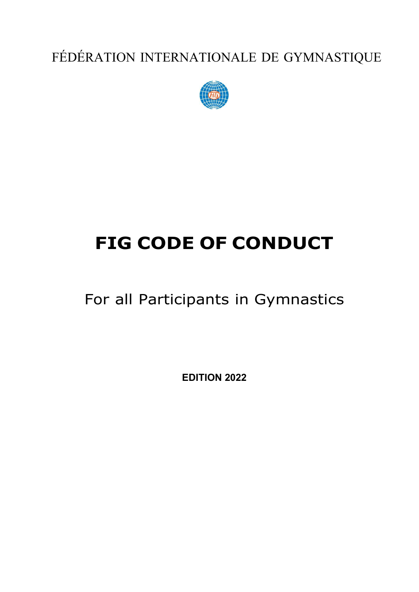FÉDÉRATION INTERNATIONALE DE GYMNASTIQUE



# **FIG CODE OF CONDUCT**

For all Participants in Gymnastics

**EDITION 2022**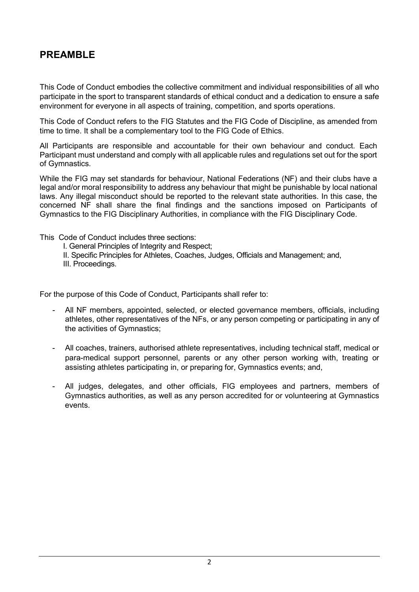## **PREAMBLE**

This Code of Conduct embodies the collective commitment and individual responsibilities of all who participate in the sport to transparent standards of ethical conduct and a dedication to ensure a safe environment for everyone in all aspects of training, competition, and sports operations.

This Code of Conduct refers to the FIG Statutes and the FIG Code of Discipline, as amended from time to time. It shall be a complementary tool to the FIG Code of Ethics.

All Participants are responsible and accountable for their own behaviour and conduct. Each Participant must understand and comply with all applicable rules and regulations set out for the sport of Gymnastics.

While the FIG may set standards for behaviour, National Federations (NF) and their clubs have a legal and/or moral responsibility to address any behaviour that might be punishable by local national laws. Any illegal misconduct should be reported to the relevant state authorities. In this case, the concerned NF shall share the final findings and the sanctions imposed on Participants of Gymnastics to the FIG Disciplinary Authorities, in compliance with the FIG Disciplinary Code.

This Code of Conduct includes three sections:

I. General Principles of Integrity and Respect;

II. Specific Principles for Athletes, Coaches, Judges, Officials and Management; and, III. Proceedings.

For the purpose of this Code of Conduct, Participants shall refer to:

- All NF members, appointed, selected, or elected governance members, officials, including athletes, other representatives of the NFs, or any person competing or participating in any of the activities of Gymnastics;
- All coaches, trainers, authorised athlete representatives, including technical staff, medical or para-medical support personnel, parents or any other person working with, treating or assisting athletes participating in, or preparing for, Gymnastics events; and,
- All judges, delegates, and other officials, FIG employees and partners, members of Gymnastics authorities, as well as any person accredited for or volunteering at Gymnastics events.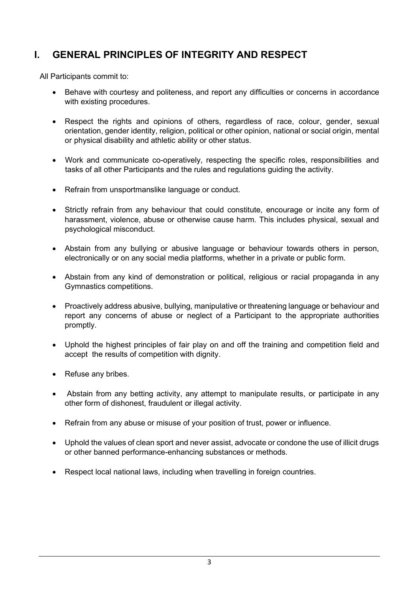# **I. GENERAL PRINCIPLES OF INTEGRITY AND RESPECT**

All Participants commit to:

- Behave with courtesy and politeness, and report any difficulties or concerns in accordance with existing procedures.
- Respect the rights and opinions of others, regardless of race, colour, gender, sexual orientation, gender identity, religion, political or other opinion, national or social origin, mental or physical disability and athletic ability or other status.
- Work and communicate co-operatively, respecting the specific roles, responsibilities and tasks of all other Participants and the rules and regulations guiding the activity.
- Refrain from unsportmanslike language or conduct.
- Strictly refrain from any behaviour that could constitute, encourage or incite any form of harassment, violence, abuse or otherwise cause harm. This includes physical, sexual and psychological misconduct.
- Abstain from any bullying or abusive language or behaviour towards others in person, electronically or on any social media platforms, whether in a private or public form.
- Abstain from any kind of demonstration or political, religious or racial propaganda in any Gymnastics competitions.
- Proactively address abusive, bullying, manipulative or threatening language or behaviour and report any concerns of abuse or neglect of a Participant to the appropriate authorities promptly.
- Uphold the highest principles of fair play on and off the training and competition field and accept the results of competition with dignity.
- Refuse any bribes.
- Abstain from any betting activity, any attempt to manipulate results, or participate in any other form of dishonest, fraudulent or illegal activity.
- Refrain from any abuse or misuse of your position of trust, power or influence.
- Uphold the values of clean sport and never assist, advocate or condone the use of illicit drugs or other banned performance-enhancing substances or methods.
- Respect local national laws, including when travelling in foreign countries.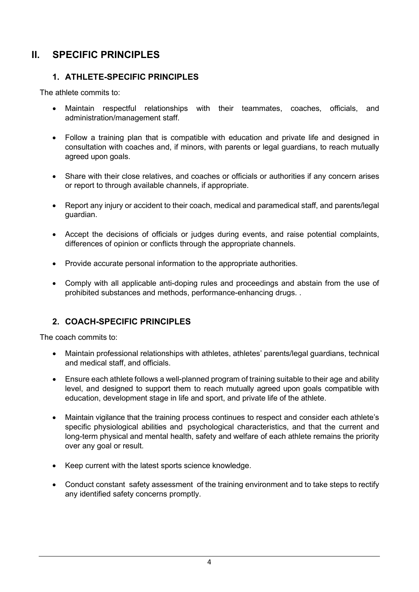# **II. SPECIFIC PRINCIPLES**

#### **1. ATHLETE-SPECIFIC PRINCIPLES**

The athlete commits to:

- Maintain respectful relationships with their teammates, coaches, officials, and administration/management staff.
- Follow a training plan that is compatible with education and private life and designed in consultation with coaches and, if minors, with parents or legal guardians, to reach mutually agreed upon goals.
- Share with their close relatives, and coaches or officials or authorities if any concern arises or report to through available channels, if appropriate.
- Report any injury or accident to their coach, medical and paramedical staff, and parents/legal guardian.
- Accept the decisions of officials or judges during events, and raise potential complaints, differences of opinion or conflicts through the appropriate channels.
- Provide accurate personal information to the appropriate authorities.
- Comply with all applicable anti-doping rules and proceedings and abstain from the use of prohibited substances and methods, performance-enhancing drugs. .

## **2. COACH-SPECIFIC PRINCIPLES**

The coach commits to:

- Maintain professional relationships with athletes, athletes' parents/legal guardians, technical and medical staff, and officials.
- Ensure each athlete follows a well-planned program of training suitable to their age and ability level, and designed to support them to reach mutually agreed upon goals compatible with education, development stage in life and sport, and private life of the athlete.
- Maintain vigilance that the training process continues to respect and consider each athlete's specific physiological abilities and psychological characteristics, and that the current and long-term physical and mental health, safety and welfare of each athlete remains the priority over any goal or result.
- Keep current with the latest sports science knowledge.
- Conduct constant safety assessment of the training environment and to take steps to rectify any identified safety concerns promptly.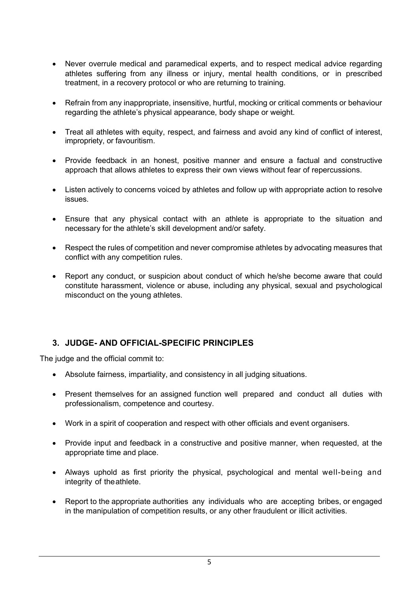- Never overrule medical and paramedical experts, and to respect medical advice regarding athletes suffering from any illness or injury, mental health conditions, or in prescribed treatment, in a recovery protocol or who are returning to training.
- Refrain from any inappropriate, insensitive, hurtful, mocking or critical comments or behaviour regarding the athlete's physical appearance, body shape or weight.
- Treat all athletes with equity, respect, and fairness and avoid any kind of conflict of interest, impropriety, or favouritism.
- Provide feedback in an honest, positive manner and ensure a factual and constructive approach that allows athletes to express their own views without fear of repercussions.
- Listen actively to concerns voiced by athletes and follow up with appropriate action to resolve issues.
- Ensure that any physical contact with an athlete is appropriate to the situation and necessary for the athlete's skill development and/or safety.
- Respect the rules of competition and never compromise athletes by advocating measures that conflict with any competition rules.
- Report any conduct, or suspicion about conduct of which he/she become aware that could constitute harassment, violence or abuse, including any physical, sexual and psychological misconduct on the young athletes.

#### **3. JUDGE- AND OFFICIAL-SPECIFIC PRINCIPLES**

The judge and the official commit to:

- Absolute fairness, impartiality, and consistency in all judging situations.
- Present themselves for an assigned function well prepared and conduct all duties with professionalism, competence and courtesy.
- Work in a spirit of cooperation and respect with other officials and event organisers.
- Provide input and feedback in a constructive and positive manner, when requested, at the appropriate time and place.
- Always uphold as first priority the physical, psychological and mental well-being and integrity of the athlete.
- Report to the appropriate authorities any individuals who are accepting bribes, or engaged in the manipulation of competition results, or any other fraudulent or illicit activities.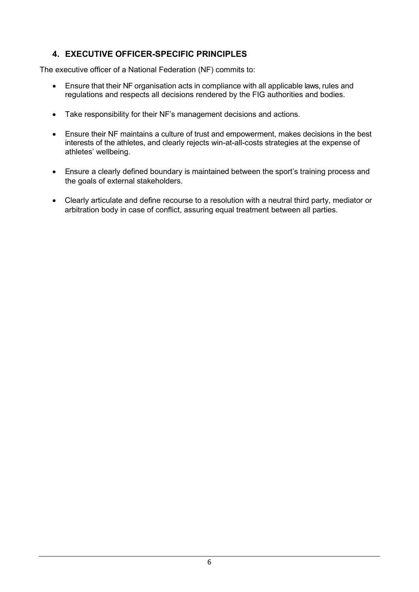## **4. EXECUTIVE OFFICER-SPECIFIC PRINCIPLES**

The executive officer of a National Federation (NF) commits to:

- Ensure that their NF organisation acts in compliance with all applicable laws, rules and regulations and respects all decisions rendered by the FIG authorities and bodies.
- Take responsibility for their NF's management decisions and actions.
- Ensure their NF maintains a culture of trust and empowerment, makes decisions in the best interests of the athletes, and clearly rejects win-at-all-costs strategies at the expense of athletes' wellbeing.
- Ensure a clearly defined boundary is maintained between the sport's training process and the goals of external stakeholders.
- Clearly articulate and define recourse to a resolution with a neutral third party, mediator or arbitration body in case of conflict, assuring equal treatment between all parties.